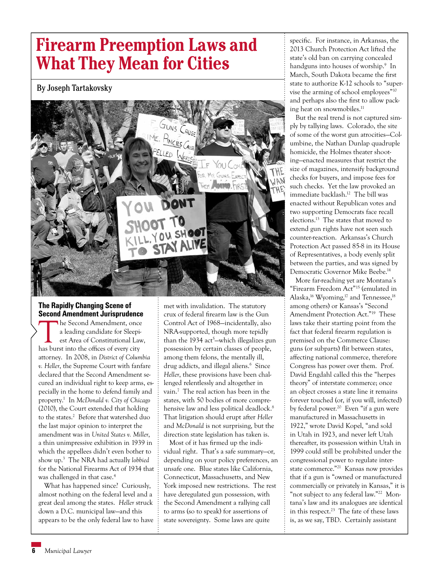# **Firearm Preemption Laws and What They Mean for Cities**

## By Joseph Tartakovsky



## **The Rapidly Changing Scene of Second Amendment Jurisprudence**

The Second Amendment, once a leading candidate for Sleepiest Area of Constitutional Law, has burst into the offices of every city attorney. In 2008, in *District of Columbia v. Heller*, the Supreme Court with fanfare declared that the Second Amendment secured an individual right to keep arms, especially in the home to defend family and property.1 In *McDonald v. City of Chicago*  (2010), the Court extended that holding to the states.<sup>2</sup> Before that watershed duo the last major opinion to interpret the amendment was in *United States v. Miller*, a thin unimpressive exhibition in 1939 in which the appellees didn't even bother to show up.3 The NRA had actually *lobbied* for the National Firearms Act of 1934 that was challenged in that case. 4

What has happened since? Curiously, almost nothing on the federal level and a great deal among the states. *Heller* struck down a D.C. municipal law—and this appears to be the only federal law to have

met with invalidation. The statutory crux of federal firearm law is the Gun Control Act of 1968—incidentally, also NRA-supported, though more tepidly than the 1934 act<sup>5</sup>—which illegalizes gun possession by certain classes of people, among them felons, the mentally ill, drug addicts, and illegal aliens.<sup>6</sup> Since *Heller*, these provisions have been challenged relentlessly and altogether in vain.7 The real action has been in the states, with 50 bodies of more comprehensive law and less political deadlock.<sup>8</sup> That litigation should erupt after *Heller* and *McDonald* is not surprising, but the direction state legislation has taken is.

Most of it has firmed up the individual right. That's a safe summary—or, depending on your policy preferences, an unsafe one. Blue states like California, Connecticut, Massachusetts, and New York imposed new restrictions. The rest have deregulated gun possession, with the Second Amendment a rallying call to arms (so to speak) for assertions of state sovereignty. Some laws are quite

specific. For instance, in Arkansas, the 2013 Church Protection Act lifted the state's old ban on carrying concealed handguns into houses of worship.<sup>9</sup> In March, South Dakota became the first state to authorize K-12 schools to "supervise the arming of school employees"10 and perhaps also the first to allow packing heat on snowmobiles.<sup>11</sup>

But the real trend is not captured simply by tallying laws. Colorado, the site of some of the worst gun atrocities—Columbine, the Nathan Dunlap quadruple homicide, the Holmes theater shooting—enacted measures that restrict the size of magazines, intensify background checks for buyers, and impose fees for such checks. Yet the law provoked an immediate backlash.12 The bill was enacted without Republican votes and two supporting Democrats face recall elections.13 The states that moved to extend gun rights have not seen such counter-reaction. Arkansas's Church Protection Act passed 85-8 in its House of Representatives, a body evenly split between the parties, and was signed by Democratic Governor Mike Beebe.14

More far-reaching yet are Montana's "Firearm Freedom Act"15 (emulated in Alaska,<sup>16</sup> Wyoming,<sup>17</sup> and Tennessee,<sup>18</sup> among others) or Kansas's "Second Amendment Protection Act."19 These laws take their starting point from the fact that federal firearm regulation is premised on the Commerce Clause: guns (or subparts) flit between states, affecting national commerce, therefore Congress has power over them. Prof. David Engdahl called this the "herpes theory" of interstate commerce; once an object crosses a state line it remains forever touched (or, if you will, infected) by federal power.<sup>20</sup> Even "if a gun were manufactured in Massachusetts in 1922," wrote David Kopel, "and sold in Utah in 1923, and never left Utah thereafter, its possession within Utah in 1999 could still be prohibited under the congressional power to regulate interstate commerce."21 Kansas now provides that if a gun is "owned or manufactured commercially or privately in Kansas," it is "not subject to any federal law."<sup>22</sup> Montana's law and its analogues are identical in this respect.<sup>23</sup> The fate of these laws is, as we say, TBD. Certainly assistant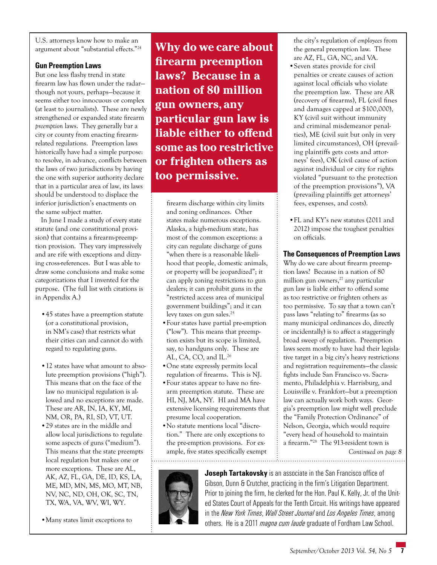U.S. attorneys know how to make an argument about "substantial effects."24

## **Gun Preemption Laws**

But one less flashy trend in state firearm law has flown under the radar though not yours, perhaps—because it seems either too innocuous or complex (at least to journalists). These are newly strengthened or expanded state firearm *preemption* laws. They generally bar a city or county from enacting firearmrelated regulations. Preemption laws historically have had a simple purpose: to resolve, in advance, conflicts between the laws of two jurisdictions by having the one with superior authority declare that in a particular area of law, its laws should be understood to displace the inferior jurisdiction's enactments on the same subject matter.

In June I made a study of every state statute (and one constitutional provision) that contains a firearm-preemption provision. They vary impressively and are rife with exceptions and dizzying cross-references. But I was able to draw some conclusions and make some categorizations that I invented for the purpose. (The full list with citations is in Appendix A.)

- •45 states have a preemption statute (or a constitutional provision, in NM's case) that restricts what their cities can and cannot do with regard to regulating guns.
- •12 states have what amount to absolute preemption provisions ("high"). This means that on the face of the law no municipal regulation is allowed and no exceptions are made. These are AR, IN, IA, KY, MI, NM, OR, PA, RI, SD, VT, UT.
- •29 states are in the middle and allow local jurisdictions to regulate some aspects of guns ("medium"). This means that the state preempts local regulation but makes one or more exceptions. These are AL, AK, AZ, FL, GA, DE, ID, KS, LA, ME, MD, MN, MS, MO, MT, NB, NV, NC, ND, OH, OK, SC, TN, TX, WA, VA, WV, WI, WY.

•Many states limit exceptions to

**Why do we care about firearm preemption laws? Because in a nation of 80 million gun owners, any particular gun law is liable either to offend some as too restrictive or frighten others as too permissive.**

firearm discharge within city limits and zoning ordinances. Other states make numerous exceptions. Alaska, a high-medium state, has most of the common exceptions: a city can regulate discharge of guns "when there is a reasonable likelihood that people, domestic animals, or property will be jeopardized"; it can apply zoning restrictions to gun dealers; it can prohibit guns in the "restricted access area of municipal government buildings"; and it can levy taxes on gun sales.<sup>25</sup>

- •Four states have partial pre-emption ("low"). This means that preemption exists but its scope is limited, say, to handguns only. These are AL, CA, CO, and IL.26
- •One state expressly permits local regulation of firearms. This is NJ.
- •Four states appear to have no firearm preemption statute. These are HI, NJ, MA, NY. HI and MA have extensive licensing requirements that presume local cooperation.
- •No statute mentions local "discretion." There are only exceptions to the pre-emption provisions. For example, five states specifically exempt

the city's regulation of *employees* from the general preemption law. These are AZ, FL, GA, NC, and VA. •Seven states provide for civil penalties or create causes of action against local officials who violate the preemption law. These are AR (recovery of firearms), FL (civil fines and damages capped at \$100,000), KY (civil suit without immunity and criminal misdemeanor penalties), ME (civil suit but only in very limited circumstances), OH (prevailing plaintiffs gets costs and attorneys' fees), OK (civil cause of action against individual or city for rights violated "pursuant to the protection of the preemption provisions"), VA (prevailing plaintiffs get attorneys' fees, expenses, and costs).

•FL and KY's new statutes (2011 and 2012) impose the toughest penalties on officials.

## **The Consequences of Preemption Laws**

Why do we care about firearm preemption laws? Because in a nation of 80 million gun owners, $^{27}$  any particular gun law is liable either to offend some as too restrictive or frighten others as too permissive. To say that a town can't pass laws "relating to" firearms (as so many municipal ordinances do, directly or incidentally) is to affect a staggeringly broad sweep of regulation. Preemption laws seem mostly to have had their legislative target in a big city's heavy restrictions and registration requirements—the classic fights include San Francisco vs. Sacramento, Philadelphia v. Harrisburg, and Louisville v. Frankfort—but a preemption law can actually work both ways. Georgia's preemption law might well preclude the "Family Protection Ordinance" of Nelson, Georgia, which would require "every head of household to maintain a firearm."28 The 913-resident town is

*Continued on page 8*



**Joseph Tartakovsky** is an associate in the San Francisco office of Gibson, Dunn & Crutcher, practicing in the firm's Litigation Department. Prior to joining the firm, he clerked for the Hon. Paul K. Kelly, Jr. of the United States Court of Appeals for the Tenth Circuit. His writings have appeared in the *New York Times*, *Wall Street Journal* and *Los Angeles Times*, among others. He is a 2011 *magna cum laude* graduate of Fordham Law School.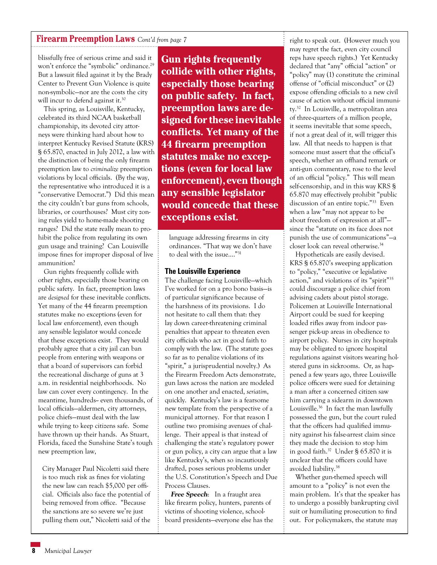## **Firearm Preemption Laws** *Cont'd from page 7*

blissfully free of serious crime and said it won't enforce the "symbolic" ordinance.<sup>29</sup> But a lawsuit filed against it by the Brady Center to Prevent Gun Violence is quite non-symbolic—nor are the costs the city will incur to defend against it.<sup>30</sup>

This spring, as Louisville, Kentucky, celebrated its third NCAA basketball championship, its devoted city attorneys were thinking hard about how to interpret Kentucky Revised Statute (KRS) § 65.870, enacted in July 2012, a law with the distinction of being the only firearm preemption law to *criminalize* preemption violations by local officials. (By the way, the representative who introduced it is a "conservative Democrat.") Did this mean the city couldn't bar guns from schools, libraries, or courthouses? Must city zoning rules yield to home-made shooting ranges? Did the state really mean to prohibit the police from regulating its own gun usage and training? Can Louisville impose fines for improper disposal of live ammunition?

Gun rights frequently collide with other rights, especially those bearing on public safety. In fact, preemption laws are *designed* for these inevitable conflicts. Yet many of the 44 firearm preemption statutes make no exceptions (even for local law enforcement), even though any sensible legislator would concede that these exceptions exist. They would probably agree that a city jail can ban people from entering with weapons or that a board of supervisors can forbid the recreational discharge of guns at 3 a.m. in residential neighborhoods. No law can cover every contingency. In the meantime, hundreds-- even thousands, of local officials—aldermen, city attorneys, police chiefs—must deal with the law while trying to keep citizens safe. Some have thrown up their hands. As Stuart, Florida, faced the Sunshine State's tough new preemption law,

City Manager Paul Nicoletti said there is too much risk as fines for violating the new law can reach \$5,000 per official. Officials also face the potential of being removed from office. "Because the sanctions are so severe we're just pulling them out," Nicoletti said of the

**Gun rights frequently collide with other rights, especially those bearing on public safety. In fact, preemption laws are designed for these inevitable conflicts. Yet many of the 44 firearm preemption statutes make no exceptions (even for local law enforcement), even though any sensible legislator would concede that these exceptions exist.**

language addressing firearms in city ordinances. "That way we don't have to deal with the issue…."31

### **The Louisville Experience**

The challenge facing Louisville—which I've worked for on a pro bono basis—is of particular significance because of the harshness of its provisions. I do not hesitate to call them that: they lay down career-threatening criminal penalties that appear to threaten even city officials who act in good faith to comply with the law. (The statute goes so far as to penalize violations of its "spirit," a jurisprudential novelty.) As the Firearm Freedom Acts demonstrate, gun laws across the nation are modeled on one another and enacted, *seriatim*, quickly. Kentucky's law is a fearsome new template from the perspective of a municipal attorney. For that reason I outline two promising avenues of challenge. Their appeal is that instead of challenging the state's regulatory power or gun policy, a city can argue that a law like Kentucky's, when so incautiously drafted, poses serious problems under the U.S. Constitution's Speech and Due Process Clauses.

**Free Speech**: In a fraught area like firearm policy, hunters, parents of victims of shooting violence, schoolboard presidents—everyone else has the right to speak out. (However much you may regret the fact, even city council reps have speech rights.) Yet Kentucky declared that "any" official "action" or "policy" may (1) constitute the criminal offense of "official misconduct" or (2) expose offending officials to a new civil cause of action without official immunity.32 In Louisville, a metropolitan area of three-quarters of a million people, it seems inevitable that some speech, if not a great deal of it, will trigger this law. All that needs to happen is that someone must assert that the official's speech, whether an offhand remark or anti-gun commentary, rose to the level of an official "policy." This will mean self-censorship, and in this way KRS § 65.870 may effectively prohibit "public discussion of an entire topic."33 Even when a law "may not appear to be about freedom of expression at all" since the "statute on its face does not punish the use of communications"—a closer look can reveal otherwise.34

Hypotheticals are easily devised. KRS § 65.870's sweeping application to "policy," "executive or legislative action," and violations of its "spirit"35 could discourage a police chief from advising cadets about pistol storage. Policemen at Louisville International Airport could be sued for keeping loaded rifles away from indoor passenger pick-up areas in obedience to airport policy. Nurses in city hospitals may be obligated to ignore hospital regulations against visitors wearing holstered guns in sickrooms. Or, as happened a few years ago, three Louisville police officers were sued for detaining a man after a concerned citizen saw him carrying a sidearm in downtown Louisville.36 In fact the man lawfully possessed the gun, but the court ruled that the officers had qualified immunity against his false-arrest claim since they made the decision to stop him in good faith.37 Under § 65.870 it is unclear that the officers could have avoided liability.38

Whether gun-themed speech will amount to a "policy" is not even the main problem. It's that the speaker has to undergo a possibly bankrupting civil suit or humiliating prosecution to find out. For policymakers, the statute may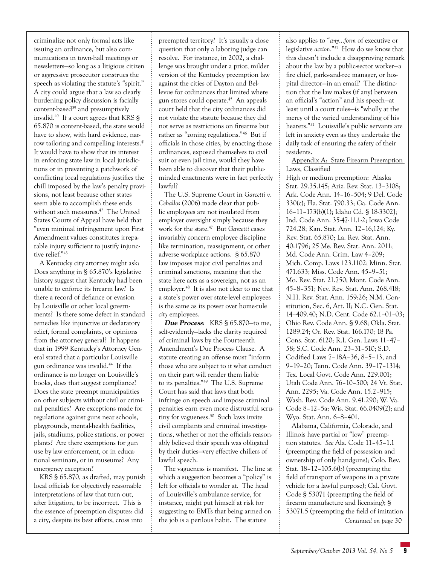criminalize not only formal acts like issuing an ordinance, but also communications in town-hall meetings or newsletters—so long as a litigious citizen or aggressive prosecutor construes the speech as violating the statute's "spirit." A city could argue that a law so clearly burdening policy discussion is facially content-based<sup>39</sup> and presumptively invalid.40 If a court agrees that KRS § 65.870 is content-based, the state would have to show, with hard evidence, narrow tailoring and compelling interests.<sup>41</sup> It would have to show that its interest in enforcing state law in local jurisdictions or in preventing a patchwork of conflicting local regulations justifies the chill imposed by the law's penalty provisions, not least because other states seem able to accomplish these ends without such measures.<sup>42</sup> The United States Courts of Appeal have held that "even minimal infringement upon First Amendment values constitutes irreparable injury sufficient to justify injunctive relief."43

A Kentucky city attorney might ask: Does anything in § 65.870's legislative history suggest that Kentucky had been unable to enforce its firearm law? Is there a record of defiance or evasion by Louisville or other local governments? Is there some defect in standard remedies like injunctive or declaratory relief, formal complaints, or opinions from the attorney general? It happens that in 1999 Kentucky's Attorney General stated that a particular Louisville gun ordinance was invalid.44 If the ordinance is no longer on Louisville's books, does that suggest compliance? Does the state preempt municipalities on other subjects without civil or criminal penalties? Are exceptions made for regulations against guns near schools, playgrounds, mental-health facilities, jails, stadiums, police stations, or power plants? Are there exemptions for gun use by law enforcement, or in educational seminars, or in museums? Any emergency exception?

KRS § 65.870, as drafted, may punish local officials for objectively reasonable interpretations of law that turn out, after litigation, to be incorrect. This is the essence of preemption disputes: did a city, despite its best efforts, cross into

preempted territory? It's usually a close question that only a laboring judge can resolve. For instance, in 2002, a challenge was brought under a prior, milder version of the Kentucky preemption law against the cities of Dayton and Bellevue for ordinances that limited where gun stores could operate.45 An appeals court held that the city ordinances did not violate the statute because they did not serve as restrictions on firearms but rather as "zoning regulations."46 But if officials in those cities, by enacting those ordinances, exposed themselves to civil suit or even jail time, would they have been able to discover that their publicminded enactments were in fact perfectly lawful?

The U.S. Supreme Court in *Garcetti v. Ceballos* (2006) made clear that public employees are not insulated from employer oversight simply because they work for the state.47 But *Garcetti* cases invariably concern employee discipline like termination, reassignment, or other adverse workplace actions. § 65.870 law imposes major civil penalties and criminal sanctions, meaning that the state here acts as a sovereign, not as an employer.<sup>48</sup> It is also not clear to me that a state's power over state-level employees is the same as its power over home-rule *city* employees.

**Due Process**: KRS § 65.870—to me, self-evidently—lacks the clarity required of criminal laws by the Fourteenth Amendment's Due Process Clause. A statute creating an offense must "inform those who are subject to it what conduct on their part will render them liable to its penalties."49 The U.S. Supreme Court has said that laws that both infringe on speech *and* impose criminal penalties earn even more distrustful scrutiny for vagueness.<sup>50</sup> Such laws invite civil complaints and criminal investigations, whether or not the officials reasonably believed their speech was obligated by their duties—very effective chillers of lawful speech.

The vagueness is manifest. The line at which a suggestion becomes a "policy" is left for officials to wonder at. The head of Louisville's ambulance service, for instance, might put himself at risk for suggesting to EMTs that being armed on the job is a perilous habit. The statute

also applies to "*any*…*form* of executive or legislative *action*."51 How do we know that this doesn't include a disapproving remark about the law by a public-sector worker—a fire chief, parks-and-rec manager, or hospital director—in an email? The distinction that the law makes (if any) between an official's "action" and his speech—at least until a court rules—is "wholly at the mercy of the varied understanding of his hearers."52 Louisville's public servants are left in anxiety even as they undertake the daily task of ensuring the safety of their residents.

Appendix A: State Firearm Preemption Laws, Classified

High or medium preemption: Alaska Stat. 29.35.145; Ariz. Rev. Stat. 13–3108; Ark. Code Ann. 14–16–504; 9 Del. Code 330(c); Fla. Stat. 790.33; Ga. Code Ann. 16–11–173(b)(1); Idaho Cd. § 18-3302J; Ind. Code Ann. 35-47-11.1-2; Iowa Code 724.28; Kan. Stat. Ann. 12–16,124; Ky. Rev. Stat. 65.870; La. Rev. Stat. Ann. 40:1796; 25 Me. Rev. Stat. Ann. 2011; Md. Code Ann. Crim. Law 4–209; Mich. Comp. Laws 123.1102; Minn. Stat. 471.633; Miss. Code Ann. 45–9–51; Mo. Rev. Stat. 21.750; Mont. Code Ann. 45–8–351; Nev. Rev. Stat. Ann. 268.418; N.H. Rev. Stat. Ann. 159:26; N.M. Constitution, Sec. 6, Art. II; N.C. Gen. Stat. 14–409.40; N.D. Cent. Code 62.1–01–03; Ohio Rev. Code Ann. § 9.68; Okla. Stat. 1289.24; Or. Rev. Stat. 166.170; 18 Pa. Cons. Stat. 6120; R.I. Gen. Laws 11–47– 58; S.C. Code Ann. 23–31–510; S.D. Codified Laws 7–18A–36, 8–5–13, and 9–19–20; Tenn. Code Ann. 39–17–1314; Tex. Local Govt. Code Ann. 229.001; Utah Code Ann. 76–10–500; 24 Vt. Stat. Ann. 2295; Va. Code Ann. 15.2–915; Wash. Rev. Code Ann. 9.41.290; W. Va. Code 8–12–5a; Wis. Stat. 66.0409(2); and Wyo. Stat. Ann. 6–8–401.

Alabama, California, Colorado, and Illinois have partial or "low" preemption statutes. *See* Ala. Code 11–45–1.1 (preempting the field of possession and ownership of only handguns); Colo. Rev. Stat. 18–12–105.6(b) (preempting the field of transport of weapons in a private vehicle for a lawful purpose); Cal. Govt. Code § 53071 (preempting the field of firearm manufacture and licensing); § 53071.5 (preempting the field of imitation *Continued on page 30*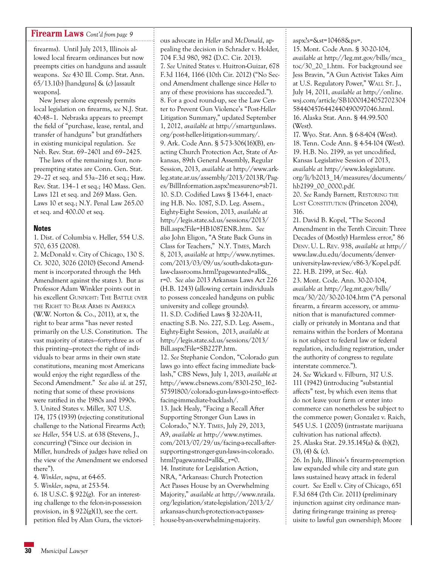## **Firearm Laws** *Cont'd from page 9*

firearms). Until July 2013, Illinois allowed local firearm ordinances but now preempts cities on handguns and assault weapons. *See* 430 Ill. Comp. Stat. Ann.  $65/13.1(b)$  [handguns] & (c) [assault] weapons].

New Jersey alone expressly permits local legislation on firearms, *see* N.J. Stat. 40:48–1. Nebraska appears to preempt the field of "purchase, lease, rental, and transfer of handguns" but grandfathers in existing municipal regulation. *See* Neb. Rev. Stat. 69–2401 and 69–2425.

The laws of the remaining four, nonpreempting states are Conn. Gen. Stat. 29–27 et seq. and 53a–216 et seq.; Haw. Rev. Stat. 134–1 et seq.; 140 Mass. Gen. Laws 121 et seq. and 269 Mass. Gen. Laws 10 et seq.; N.Y. Penal Law 265.00 et seq. and 400.00 et seq.

### **Notes**

1. Dist. of Columbia v. Heller, 554 U.S. 570, 635 (2008).

2. McDonald v. City of Chicago, 130 S. Ct. 3020, 3026 (2010) (Second Amendment is incorporated through the 14th Amendment against the states ). But as Professor Adam Winkler points out in his excellent GUNFIGHT: THE BATTLE OVER the Right to Bear Arms in America (W.W. Norton & Co., 2011), at x, the right to bear arms "has never rested primarily on the U.S. Constitution. The vast majority of states—forty-three as of this printing—protect the right of individuals to bear arms in their own state constitutions, meaning most Americans would enjoy the right regardless of the Second Amendment." *See also id.* at 257, noting that some of these provisions were ratified in the 1980s and 1990s. 3. United States v. Miller, 307 U.S. 174, 175 (1939) (rejecting constitutional challenge to the National Firearms Act); *see Heller*, 554 U.S. at 638 (Stevens, J., concurring) ("Since our decision in Miller, hundreds of judges have relied on the view of the Amendment we endorsed there").

4. *Winkler*, *supra*, at 64-65.

5. *Winkler*, *supra,* at 253-54.

6. 18 U.S.C. § 922(g). For an interesting challenge to the felon-in-possession provision, in §  $922(g)(1)$ , see the cert. petition filed by Alan Gura, the victorious advocate in *Heller* and *McDonald*, appealing the decision in Schrader v. Holder, 704 F.3d 980, 982 (D.C. Cir. 2013). 7. *See* United States v. Huitron-Guizar, 678 F.3d 1164, 1166 (10th Cir. 2012) ("No Second Amendment challenge since *Heller* to any of these provisions has succeeded."). 8. For a good round-up, see the Law Center to Prevent Gun Violence's "Post-*Heller*  Litigation Summary," updated September 1, 2012, *available at* http://smartgunlaws. org/post-heller-litigation-summary/. 9. Ark. Code Ann. § 5-73-306(16)(B), enacting Church Protection Act, State of Arkansas, 89th General Assembly, Regular Session, 2013, *available at* http://www.arkleg.state.ar.us/assembly/2013/2013R/Pages/BillInformation.aspx?measureno=sb71. 10. S.D. Codified Laws § 13-64-1, enacting H.B. No. 1087, S.D. Leg. Assem., Eighty-Eight Session, 2013, *available at*  http://legis.state.sd.us/sessions/2013/ Bill.aspx?File=HB1087ENR.htm. *See also* John Eligon, "A State Back Guns in Class for Teachers," N.Y. Times, March 8, 2013, *available at* http://www.nytimes. com/2013/03/09/us/south-dakota-gunlaw-classrooms.html?pagewanted=all&\_ r=0. *See also* 2013 Arkansas Laws Act 226 (H.B. 1243) (allowing certain individuals to possess concealed handguns on public university and college grounds). 11. S.D. Codified Laws § 32-20A-11, enacting S.B. No. 227, S.D. Leg. Assem., Eighty-Eight Session, 2013, *available at* http://legis.state.sd.us/sessions/2013/ Bill.aspx?File=SB227P.htm. 12. *See* Stephanie Condon, "Colorado gun laws go into effect facing immediate backlash," CBS News, July 1, 2013, *available at*  http://www.cbsnews.com/8301-250\_162- 57591800/colorado-gun-laws-go-into-effectfacing-immediate-backlash/. 13. Jack Healy, "Facing a Recall After Supporting Stronger Gun Laws in Colorado," N.Y. Times, July 29, 2013, A9, *available at* http://www.nytimes. com/2013/07/29/us/facing-a-recall-aftersupporting-stronger-gun-laws-in-colorado. html?pagewanted=all&\_r=0. 14. Institute for Legislation Action, NRA, "Arkansas: Church Protection Act Passes House by an Overwhelming Majority," *available at* http://www.nraila. org/legislation/state-legislation/2013/2/ arkansas-church-protection-act-passeshouse-by-an-overwhelming-majority.

aspx?s=&st=10468&ps=.

15. Mont. Code Ann. § 30-20-104, *available at* http://leg.mt.gov/bills/mca\_ toc/30\_20\_1.htm. For background see Jess Bravin, "A Gun Activist Takes Aim at U.S. Regulatory Power," WALL ST. J., July 14, 2011, *available at* http://online. wsj.com/article/SB10001424052702304 584404576442440490097046.html. 16. Alaska Stat. Ann. § 44.99.500 (West).

17. Wyo. Stat. Ann. § 6-8-404 (West). 18. Tenn. Code Ann. § 4-54-104 (West). 19. H.B. No. 2199, as yet uncodified, Kansas Legislative Session of 2013, *available at* http://www.kslegislature. org/li/b2013\_14/measures/documents/ hb2199\_00\_0000.pdf.

20. *See* Randy Barnett, Restoring the LOST CONSTITUTION (Princeton 2004), 316.

21. David B. Kopel, "The Second Amendment in the Tenth Circuit: Three Decades of (Mostly) Harmless error," 86 Denv. U. L. Rev. 938, *available at* http:// www.law.du.edu/documents/denveruniversity-law-review/v86-3/Kopel.pdf. 22. H.B. 2199, at Sec. 4(a).

23. Mont. Code. Ann. 30-20-104, *available at* http://leg.mt.gov/bills/ mca/30/20/30-20-104.htm ("A personal firearm, a firearm accessory, or ammunition that is manufactured commercially or privately in Montana and that remains within the borders of Montana is not subject to federal law or federal regulation, including registration, under the authority of congress to regulate interstate commerce.").

24. *See* Wickard v. Filburn, 317 U.S. 111 (1942) (introducing "substantial affects" test, by which even items that do not leave your farm or enter into commerce can nonetheless be subject to the commerce power; Gonzalez v. Raich, 545 U.S. 1 (2005) (intrastate marijuana cultivation has national affects). 25. Alaska Stat. 29.35.145(a) & (b)(2),  $(3)$ ,  $(4)$  &  $(c)$ .

26. In July, Illinois's firearm-preemption law expanded while city and state gun laws sustained heavy attack in federal court. *See* Ezell v. City of Chicago, 651 F.3d 684 (7th Cir. 2011) (preliminary injunction against city ordinance mandating firing-range training as prerequisite to lawful gun ownership); Moore